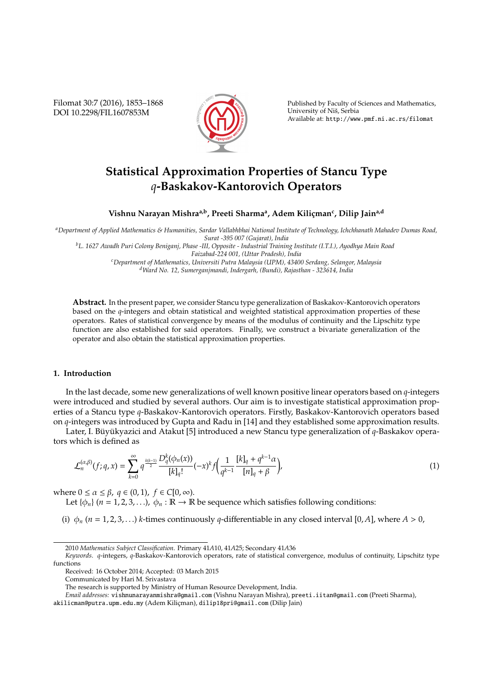Filomat 30:7 (2016), 1853–1868 DOI 10.2298/FIL1607853M



Published by Faculty of Sciences and Mathematics, University of Nis, Serbia ˇ Available at: http://www.pmf.ni.ac.rs/filomat

# **Statistical Approximation Properties of Stancu Type** *q***-Baskakov-Kantorovich Operators**

 $V$ ishnu Narayan Mishra<sup>a,b</sup>, Preeti Sharma<sup>a</sup>, Adem Kiliçman<sup>c</sup>, Dilip Jain<sup>a,d</sup>

*<sup>a</sup>Department of Applied Mathematics & Humanities, Sardar Vallabhbhai National Institute of Technology, Ichchhanath Mahadev Dumas Road, Surat -395 007 (Gujarat), India*

*<sup>b</sup>L. 1627 Awadh Puri Colony Beniganj, Phase -III, Opposite - Industrial Training Institute (I.T.I.), Ayodhya Main Road Faizabad-224 001, (Uttar Pradesh), India*

*<sup>c</sup>Department of Mathematics, Universiti Putra Malaysia (UPM), 43400 Serdang, Selangor, Malaysia <sup>d</sup>Ward No. 12, Sumerganjmandi, Indergarh, (Bundi), Rajasthan - 323614, India*

**Abstract.** In the present paper, we consider Stancu type generalization of Baskakov-Kantorovich operators based on the *q*-integers and obtain statistical and weighted statistical approximation properties of these operators. Rates of statistical convergence by means of the modulus of continuity and the Lipschitz type function are also established for said operators. Finally, we construct a bivariate generalization of the operator and also obtain the statistical approximation properties.

## **1. Introduction**

In the last decade, some new generalizations of well known positive linear operators based on *q*-integers were introduced and studied by several authors. Our aim is to investigate statistical approximation properties of a Stancu type *q*-Baskakov-Kantorovich operators. Firstly, Baskakov-Kantorovich operators based on *q*-integers was introduced by Gupta and Radu in [14] and they established some approximation results.

Later, I. Büyükyazici and Atakut [5] introduced a new Stancu type generalization of q-Baskakov operators which is defined as

$$
\mathcal{L}_n^{(\alpha,\beta)}(f;q,x) = \sum_{k=0}^{\infty} q^{\frac{k(k-1)}{2}} \frac{D_q^k(\phi_n(x))}{[k]_q!} (-x)^k f\left(\frac{1}{q^{k-1}} \frac{[k]_q + q^{k-1}\alpha}{[n]_q + \beta}\right),\tag{1}
$$

where  $0 \le \alpha \le \beta$ ,  $q \in (0, 1)$ ,  $f \in C[0, \infty)$ .

Let  $\{\phi_n\}$  ( $n = 1, 2, 3, \ldots$ ),  $\phi_n : \mathbb{R} \to \mathbb{R}$  be sequence which satisfies following conditions:

(i)  $\phi_n$  (*n* = 1, 2, 3, ...) *k*-times continuously *q*-differentiable in any closed interval [0, *A*], where *A* > 0,

<sup>2010</sup> *Mathematics Subject Classification*. Primary 41*A*10, 41*A*25; Secondary 41*A*36

*Keywords*. *q*-integers, *q*-Baskakov-Kantorovich operators, rate of statistical convergence, modulus of continuity, Lipschitz type functions

Received: 16 October 2014; Accepted: 03 March 2015

Communicated by Hari M. Srivastava

The research is supported by Ministry of Human Resource Development, India.

*Email addresses:* vishnunarayanmishra@gmail.com (Vishnu Narayan Mishra), preeti.iitan@gmail.com (Preeti Sharma),

akilicman@putra.upm.edu.my (Adem Kilicman), dilip18pri@gmail.com (Dilip Jain)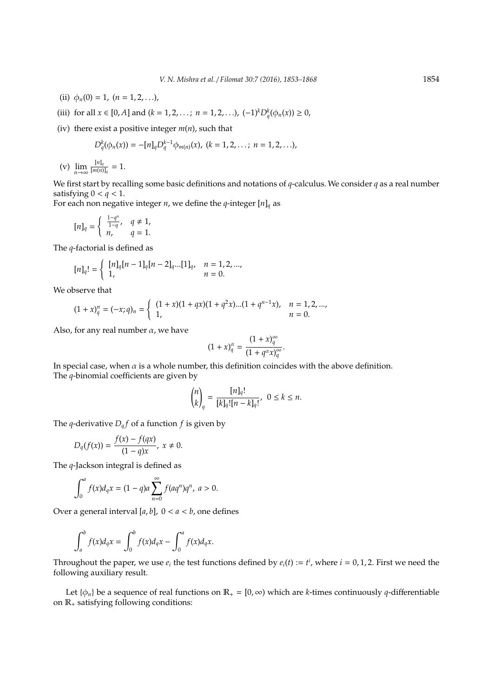- (ii)  $\phi_n(0) = 1$ ,  $(n = 1, 2, ...)$
- (iii) for all *x* ∈ [0, *A*] and (*k* = 1, 2, . . . ; *n* = 1, 2, . . .),  $(-1)^k D_q^k(\phi_n(x)) \ge 0$ ,
- (iv) there exist a positive integer *m*(*n*), such that

$$
D_q^k(\phi_n(x)) = -[n]_q D_q^{k-1} \phi_{m(n)}(x), \ (k = 1, 2, \ldots; \ n = 1, 2, \ldots),
$$

(v)  $\lim_{n\to\infty} \frac{[n]_q}{[m(n)]}$  $\frac{[m_{q}]}{[m(n)]_q} = 1.$ 

We first start by recalling some basic definitions and notations of *q*-calculus. We consider *q* as a real number satisfying  $0 < q < 1$ .

For each non negative integer *n*, we define the *q*-integer  $[n]_q$  as

$$
[n]_q=\left\{\begin{array}{ll} \frac{1-q^n}{1-q},& q\neq 1,\\ n, & q=1.\end{array}\right.
$$

The *q*-factorial is defined as

$$
[n]_q! = \begin{cases} [n]_q[n-1]_q[n-2]_q...[1]_q, & n = 1, 2, ..., \\ 1, & n = 0. \end{cases}
$$

We observe that

$$
(1+x)_q^n = (-x;q)_n = \begin{cases} (1+x)(1+qx)(1+q^2x)...(1+q^{n-1}x), & n = 1,2,..., \\ 1, & n = 0. \end{cases}
$$

Also, for any real number  $\alpha$ , we have

$$
(1+x)_q^{\alpha} = \frac{(1+x)_q^{\infty}}{(1+q^{\alpha}x)_q^{\infty}}.
$$

∞

In special case, when  $\alpha$  is a whole number, this definition coincides with the above definition. The *q*-binomial coefficients are given by

$$
\binom{n}{k}_q = \frac{[n]_q!}{[k]_q! [n-k]_q!}, \ \ 0 \le k \le n.
$$

The *q*-derivative  $D_q f$  of a function *f* is given by

$$
D_q(f(x)) = \frac{f(x) - f(qx)}{(1 - q)x}, \; x \neq 0.
$$

The *q*-Jackson integral is defined as

$$
\int_0^a f(x)d_qx = (1-q)a \sum_{n=0}^\infty f(aq^n)q^n, \ a > 0.
$$

Over a general interval  $[a, b]$ ,  $0 < a < b$ , one defines

$$
\int_a^b f(x)d_qx = \int_0^b f(x)d_qx - \int_0^a f(x)d_qx.
$$

Throughout the paper, we use  $e_i$  the test functions defined by  $e_i(t) := t^i$ , where  $i = 0, 1, 2$ . First we need the following auxiliary result.

Let  $\{\phi_n\}$  be a sequence of real functions on  $\mathbb{R}_+ = [0, \infty)$  which are *k*-times continuously *q*-differentiable on  $\mathbb{R}_+$  satisfying following conditions: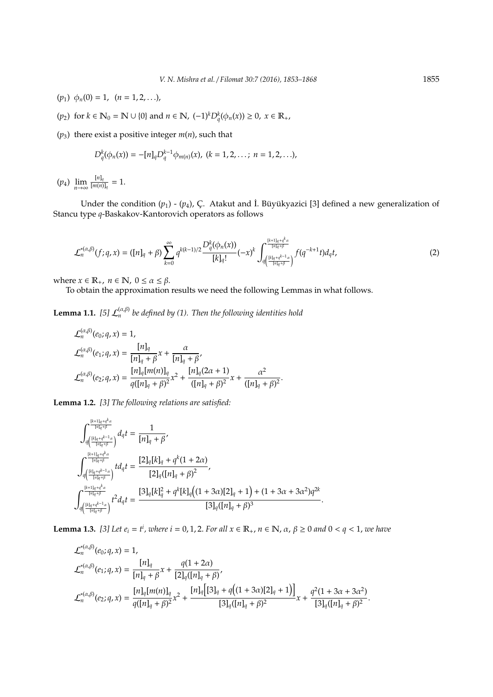- ( $p_1$ )  $\phi_n(0) = 1$ ,  $(n = 1, 2, ...)$ ,
- (*p*<sub>2</sub>) for *k* ∈ **N**<sub>0</sub> = **N** ∪ {0} and *n* ∈ **N**,  $(-1)^k D_q^k(\phi_n(x)) \ge 0$ ,  $x \in \mathbb{R}_+$ ,

( $p_3$ ) there exist a positive integer  $m(n)$ , such that

$$
D_q^k(\phi_n(x)) = -[n]_q D_q^{k-1} \phi_{m(n)}(x), \ (k = 1, 2, \ldots; \ n = 1, 2, \ldots),
$$

 $(p_4)$   $\lim_{n\to\infty} \frac{[n]_q}{[m(n)]}$  $\frac{[m_{q}]}{[m(n)]_q} = 1.$ 

Under the condition  $(p_1)$  -  $(p_4)$ , Ç. Atakut and İ. Büyükyazici [3] defined a new generalization of Stancu type *q*-Baskakov-Kantorovich operators as follows

$$
\mathcal{L}_n^{*(\alpha,\beta)}(f;q,x) = ([n]_q + \beta) \sum_{k=0}^{\infty} q^{k(k-1)/2} \frac{D_q^k(\phi_n(x))}{[k]_q!}(-x)^k \int_{q\left(\frac{[k]_q + q^{k-1}\alpha}{[n]_q + \beta}\right)}^{\frac{[k+1]_q + q^k\alpha}{[n]_q + \beta}} f(q^{-k+1}t) d_qt,
$$
\n(2)

where  $x \in \mathbb{R}_+$ ,  $n \in \mathbb{N}$ ,  $0 \le \alpha \le \beta$ .

To obtain the approximation results we need the following Lemmas in what follows.

**Lemma 1.1.** [5]  $\mathcal{L}_n^{(\alpha,\beta)}$  be defined by (1). Then the following identities hold

$$
\mathcal{L}_{n}^{(\alpha,\beta)}(e_{0};q,x) = 1,
$$
\n
$$
\mathcal{L}_{n}^{(\alpha,\beta)}(e_{1};q,x) = \frac{[n]_{q}}{[n]_{q} + \beta}x + \frac{\alpha}{[n]_{q} + \beta},
$$
\n
$$
\mathcal{L}_{n}^{(\alpha,\beta)}(e_{2};q,x) = \frac{[n]_{q}[m(n)]_{q}}{q([n]_{q} + \beta)^{2}}x^{2} + \frac{[n]_{q}(2\alpha + 1)}{([n]_{q} + \beta)^{2}}x + \frac{\alpha^{2}}{([n]_{q} + \beta)^{2}}.
$$

**Lemma 1.2.** *[3] The following relations are satisfied:*

$$
\begin{array}{l} \displaystyle \int_{q\left(\frac{[k]_q+q^{k-1}\alpha}{[n]_q+\beta}\right)}^{\frac{[k+1]_q+q^{k}\alpha}{[n]_q+\beta}} d_qt=\frac{1}{[n]_q+\beta},\\ \displaystyle \int_{q\left(\frac{[k]_q+q^{k-1}\alpha}{[n]_q+\beta}\right)}^{ \frac{[k+1]_q+q^{k}\alpha}{[n]_q+\beta}} t d_qt=\frac{[2]_q[k]_q+q^k(1+2\alpha)}{[2]_q([n]_q+\beta)^2},\\ \displaystyle \int_{q\left(\frac{[k]_q+q^{k-1}\alpha}{[n]_q+\beta}\right)}^{ \frac{[k+1]_q+q^{k}\alpha}{[n]_q+\beta}} t^2 d_qt=\frac{[3]_q[k]_q^2+q^k[k]_q\Big((1+3\alpha)[2]_q+1\Big)+(1+3\alpha+3\alpha^2)q^{2k}}{[3]_q([n]_q+\beta)^3}. \end{array}
$$

**Lemma 1.3.** [3] Let  $e_i = t^i$ , where  $i = 0, 1, 2$ . For all  $x \in \mathbb{R}_+$ ,  $n \in \mathbb{N}$ ,  $\alpha$ ,  $\beta \ge 0$  and  $0 < q < 1$ , we have

$$
\begin{split} &\mathcal{L}_{n}^{*(\alpha,\beta)}(e_{0};q,x)=1,\\ &\mathcal{L}_{n}^{*(\alpha,\beta)}(e_{1};q,x)=\frac{[n]_{q}}{[n]_{q}+\beta}x+\frac{q(1+2\alpha)}{[2]_{q}([n]_{q}+\beta)},\\ &\mathcal{L}_{n}^{*(\alpha,\beta)}(e_{2};q,x)=\frac{[n]_{q}[m(n)]_{q}}{q([n]_{q}+\beta)^{2}}x^{2}+\frac{[n]_{q}\Big[[3]_{q}+q\big((1+3\alpha)[2]_{q}+1\big)\Big]}{[3]_{q}([n]_{q}+\beta)^{2}}x+\frac{q^{2}(1+3\alpha+3\alpha^{2})}{[3]_{q}([n]_{q}+\beta)^{2}}. \end{split}
$$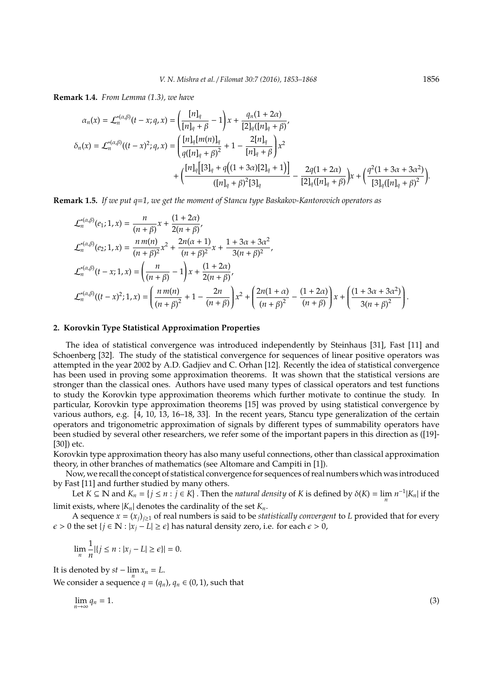**Remark 1.4.** *From Lemma (1.3), we have*

$$
\alpha_n(x) = \mathcal{L}_n^{*(\alpha,\beta)}(t - x; q, x) = \left(\frac{[n]_q}{[n]_q + \beta} - 1\right)x + \frac{q_n(1 + 2\alpha)}{[2]_q([n]_q + \beta)},
$$
  

$$
\delta_n(x) = \mathcal{L}_n^{*(\alpha,\beta)}((t - x)^2; q, x) = \left(\frac{[n]_q[m(n)]_q}{q([n]_q + \beta)^2} + 1 - \frac{2[n]_q}{[n]_q + \beta}\right)x^2 + \left(\frac{[n]_q[[3]_q + q((1 + 3\alpha)[2]_q + 1)]}{([n]_q + \beta)^2[3]_q} - \frac{2q(1 + 2\alpha)}{[2]_q([n]_q + \beta)}x + \left(\frac{q^2(1 + 3\alpha + 3\alpha^2)}{[3]_q([n]_q + \beta)^2}\right) + \frac{2q(1 + 2\alpha)}{[3]_q([n]_q + \beta)^2}x^2 + \left(\frac{q^2(1 + 3\alpha + 3\alpha^2)}{[3]_q([n]_q + \beta)^2}\right) + \frac{2q(1 + 2\alpha)}{[3]_q([n]_q + \beta)^2}x^2 + \frac{2q(1 + 2\alpha)}{[3]_q([n]_q + \beta)^2}x^2 + \frac{2q(1 + 2\alpha)}{[3]_q([n]_q + \beta)^2}x^2 + \frac{2q(1 + 2\alpha)}{[3]_q([n]_q + \beta)^2}x^2 + \frac{2q(1 + 3\alpha + 3\alpha^2)}{[3]_q([n]_q + \beta)^2}x^2 + \frac{2q(1 + 3\alpha + 3\alpha^2)}{[3]_q([n]_q + \beta)^2}x^2 + \frac{2q(1 + 3\alpha + 3\alpha^2)}{[3]_q([n]_q + \beta)^2}x^2 + \frac{2q(1 + 3\alpha + 3\alpha^2)}{[3]_q([n]_q + \beta)^2}x^2 + \frac{2q(1 + 3\alpha + 3\alpha^2)}{[3]_q([n]_q + \beta)^2}x^2 + \frac{2q(1 + 3\alpha + 3\alpha^2)}{[3]_q([n]_q + \beta)^2}
$$

**Remark 1.5.** *If we put q*=*1, we get the moment of Stancu type Baskakov-Kantorovich operators as*

$$
\mathcal{L}_{n}^{*(\alpha,\beta)}(e_{1};1,x) = \frac{n}{(n+\beta)}x + \frac{(1+2\alpha)}{2(n+\beta)},
$$
\n
$$
\mathcal{L}_{n}^{*(\alpha,\beta)}(e_{2};1,x) = \frac{n m(n)}{(n+\beta)^{2}}x^{2} + \frac{2n(\alpha+1)}{(n+\beta)^{2}}x + \frac{1+3\alpha+3\alpha^{2}}{3(n+\beta)^{2}},
$$
\n
$$
\mathcal{L}_{n}^{*(\alpha,\beta)}(t-x;1,x) = \left(\frac{n}{(n+\beta)}-1\right)x + \frac{(1+2\alpha)}{2(n+\beta)},
$$
\n
$$
\mathcal{L}_{n}^{*(\alpha,\beta)}((t-x)^{2};1,x) = \left(\frac{n m(n)}{(n+\beta)^{2}}+1-\frac{2n}{(n+\beta)}\right)x^{2} + \left(\frac{2n(1+\alpha)}{(n+\beta)^{2}}-\frac{(1+2\alpha)}{(n+\beta)}\right)x + \left(\frac{(1+3\alpha+3\alpha^{2})}{3(n+\beta)^{2}}\right).
$$

#### **2. Korovkin Type Statistical Approximation Properties**

The idea of statistical convergence was introduced independently by Steinhaus [31], Fast [11] and Schoenberg [32]. The study of the statistical convergence for sequences of linear positive operators was attempted in the year 2002 by A.D. Gadjiev and C. Orhan [12]. Recently the idea of statistical convergence has been used in proving some approximation theorems. It was shown that the statistical versions are stronger than the classical ones. Authors have used many types of classical operators and test functions to study the Korovkin type approximation theorems which further motivate to continue the study. In particular, Korovkin type approximation theorems [15] was proved by using statistical convergence by various authors, e.g. [4, 10, 13, 16–18, 33]. In the recent years, Stancu type generalization of the certain operators and trigonometric approximation of signals by different types of summability operators have been studied by several other researchers, we refer some of the important papers in this direction as ([19]- [30]) etc.

Korovkin type approximation theory has also many useful connections, other than classical approximation theory, in other branches of mathematics (see Altomare and Campiti in [1]).

Now, we recall the concept of statistical convergence for sequences of real numbers which was introduced by Fast [11] and further studied by many others.

Let  $K \subseteq \mathbb{N}$  and  $K_n = \{j \le n : j \in K\}$ . Then the *natural density* of *K* is defined by  $\delta(K) = \lim_n n^{-1}|K_n|$  if the limit exists, where  $|K_n|$  denotes the cardinality of the set  $K_n$ .

A sequence  $x = (x_j)_{j \geq 1}$  of real numbers is said to be *statistically convergent* to *L* provided that for every  $\epsilon$  > 0 the set {*j* ∈ **N** : |*x*<sub>*j*</sub> − *L*| ≥  $\epsilon$ } has natural density zero, i.e. for each  $\epsilon$  > 0,

$$
\lim_{n} \frac{1}{n} |\{j \le n : |x_j - L| \ge \epsilon\}| = 0.
$$

It is denoted by  $st - \lim_n x_n = L$ . We consider a sequence  $q = (q_n)$ ,  $q_n \in (0, 1)$ , such that

$$
\lim_{n \to \infty} q_n = 1. \tag{3}
$$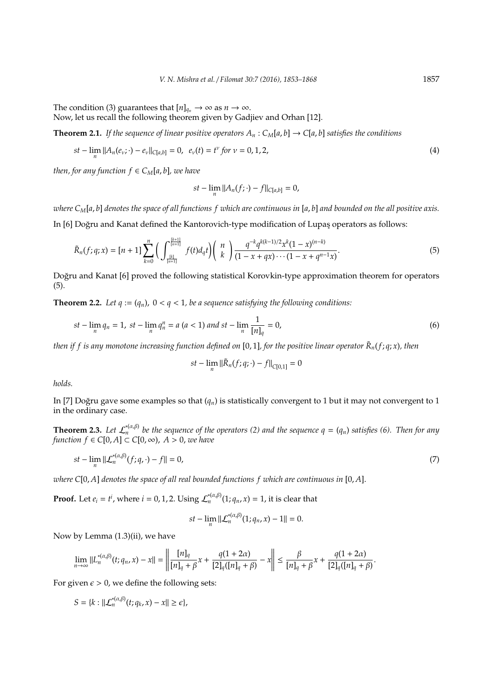The condition (3) guarantees that  $[n]_{q_n} \to \infty$  as  $n \to \infty$ .

Now, let us recall the following theorem given by Gadjiev and Orhan [12].

**Theorem 2.1.** *If the sequence of linear positive operators*  $A_n$  :  $C_M[a, b] \rightarrow C[a, b]$  *satisfies the conditions* 

$$
st - \lim_{n} ||A_n(e_v; \cdot) - e_v||_{C[a,b]} = 0, \ \ e_v(t) = t^v \text{ for } v = 0, 1, 2,
$$
 (4)

*then, for any function*  $f \in C_M[a, b]$ *, we have* 

$$
st - \lim_{n} ||A_n(f; \cdot) - f||_{C[a,b]} = 0,
$$

*where CM*[*a*, *b*] *denotes the space of all functions f which are continuous in* [*a*, *b*] *and bounded on the all positive axis.* In [6] Doğru and Kanat defined the Kantorovich-type modification of Lupas operators as follows:

$$
\tilde{R}_n(f;q;x) = [n+1] \sum_{k=0}^n \left( \int_{\frac{[k]}{[n+1]}}^{\frac{[k+1]}{[n+1]}} f(t) d_q t \right) \binom{n}{k} \frac{q^{-k} q^{k(k-1)/2} x^k (1-x)^{(n-k)}}{(1-x+qx)\cdots(1-x+q^{n-1}x)}.
$$
\n(5)

Doğru and Kanat [6] proved the following statistical Korovkin-type approximation theorem for operators (5).

**Theorem 2.2.** Let  $q := (q_n)$ ,  $0 < q < 1$ , be a sequence satisfying the following conditions:

$$
st - \lim_{n} q_n = 1, \ st - \lim_{n} q_n^n = a \ (a < 1) \ and \ st - \lim_{n} \frac{1}{[n]_q} = 0,\tag{6}
$$

*then if f is any monotone increasing function defined on* [0, 1]*, for the positive linear operator R*˜ *<sup>n</sup>*(*f*; *q*; *x*)*, then*

$$
st - \lim_{n} \|\tilde{R}_n(f; q; \cdot) - f\|_{C[0,1]} = 0
$$

*holds.*

In [7] Doğru gave some examples so that  $(q_n)$  is statistically convergent to 1 but it may not convergent to 1 in the ordinary case.

**Theorem 2.3.** Let  $\mathcal{L}_n^{*(\alpha,\beta)}$  be the sequence of the operators (2) and the sequence  $q = (q_n)$  satisfies (6). Then for any *function f*  $\in$  *C*[0, *A*]  $\subset$  *C*[0,  $\infty$ ), *A*  $>$  0, *we have* 

$$
st - \lim_{n} \|\mathcal{L}_n^{*(\alpha,\beta)}(f;q,\cdot) - f\| = 0,\tag{7}
$$

*where C*[0, *A*] *denotes the space of all real bounded functions f which are continuous in* [0, *A*].

**Proof.** Let  $e_i = t^i$ , where  $i = 0, 1, 2$ . Using  $\mathcal{L}_n^{*(\alpha, \beta)}(1; q_n, x) = 1$ , it is clear that

$$
st - \lim_{n} ||\mathcal{L}_{n}^{*(\alpha,\beta)}(1;q_{n},x) - 1|| = 0.
$$

Now by Lemma (1.3)(ii), we have

$$
\lim_{n\to\infty}||L_n^{*(\alpha,\beta)}(t;q_n,x)-x||=\left\|\frac{[n]_q}{[n]_q+\beta}x+\frac{q(1+2\alpha)}{[2]_q([n]_q+\beta)}-x\right\|\leq \frac{\beta}{[n]_q+\beta}x+\frac{q(1+2\alpha)}{[2]_q([n]_q+\beta)}.
$$

For given  $\epsilon > 0$ , we define the following sets:

$$
S = \{k : ||\mathcal{L}_n^{*(\alpha,\beta)}(t;q_k,x) - x|| \geq \epsilon\},\
$$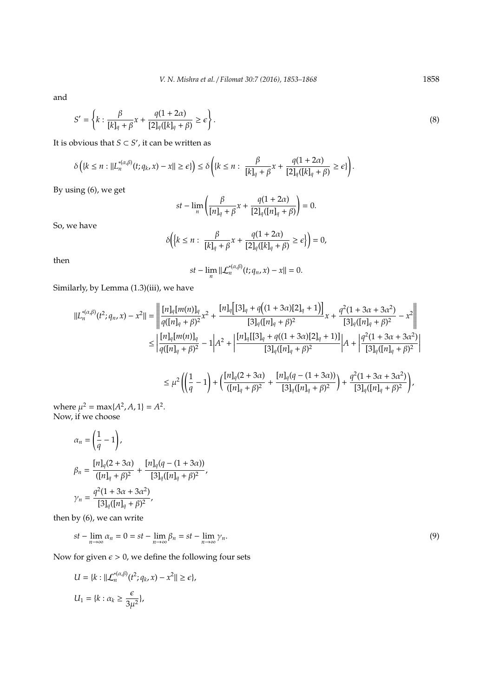and

$$
S' = \left\{ k : \frac{\beta}{[k]_q + \beta} x + \frac{q(1 + 2\alpha)}{[2]_q([k]_q + \beta)} \ge \epsilon \right\}.
$$
\n(8)

It is obvious that  $S \subset S'$ , it can be written as

$$
\delta\bigg(\{k\leq n:||L_n^{*(\alpha,\beta)}(t;q_k,x)-x||\geq \epsilon\}\bigg)\leq \delta\bigg(\{k\leq n: \ \frac{\beta}{[k]_q+\beta}x+\frac{q(1+2\alpha)}{[2]_q([k]_q+\beta)}\geq \epsilon\}\bigg).
$$

By using (6), we get

$$
st-\lim_{n}\left(\frac{\beta}{[n]_q+\beta}x+\frac{q(1+2\alpha)}{[2]_q([n]_q+\beta)}\right)=0.
$$

So, we have

$$
\delta\bigg(\bigg\{k\leq n:\ \frac{\beta}{[k]_q+\beta}x+\frac{q(1+2\alpha)}{[2]_q([k]_q+\beta)}\geq\epsilon\bigg\}\bigg)=0,
$$

then

$$
st-\lim_{n}||\mathcal{L}_{n}^{*(\alpha,\beta)}(t;q_{n},x)-x||=0.
$$

Similarly, by Lemma (1.3)(iii), we have

$$
\begin{split} ||L_{n}^{*(\alpha,\beta)}(t^{2};q_{n},x)-x^{2}||&=\left|\left|\frac{[n]_{q}[m(n)]_{q}}{q([n]_{q}+\beta)^{2}}x^{2}+\frac{[n]_{q}\big[[3]_{q}+q\big((1+3\alpha)[2]_{q}+1\big)\big]}{[3]_{q}([n]_{q}+\beta)^{2}}x+\frac{q^{2}(1+3\alpha+3\alpha^{2})}{[3]_{q}([n]_{q}+\beta)^{2}}-x^{2}\right|\right|\\ &\leq\left|\frac{[n]_{q}[m(n)]_{q}}{q([n]_{q}+\beta)^{2}}-1\right|A^{2}+\left|\frac{[n]_{q}[[3]_{q}+q((1+3\alpha)[2]_{q}+1)]}{[3]_{q}([n]_{q}+\beta)^{2}}\right|A+\left|\frac{q^{2}(1+3\alpha+3\alpha^{2})}{[3]_{q}([n]_{q}+\beta)^{2}}\right|\\ &\leq\mu^{2}\left(\left(\frac{1}{q}-1\right)+\left(\frac{[n]_{q}(2+3\alpha)}{([n]_{q}+\beta)^{2}}+\frac{[n]_{q}(q-(1+3\alpha))}{[3]_{q}([n]_{q}+\beta)^{2}}\right)+\frac{q^{2}(1+3\alpha+3\alpha^{2})}{[3]_{q}([n]_{q}+\beta)^{2}}\right), \end{split}
$$

where  $\mu^2 = \max\{A^2, A, 1\} = A^2$ . Now, if we choose

$$
\alpha_n = \left(\frac{1}{q} - 1\right),
$$
\n
$$
\beta_n = \frac{[n]_q(2 + 3\alpha)}{([n]_q + \beta)^2} + \frac{[n]_q(q - (1 + 3\alpha))}{[3]_q([n]_q + \beta)^2},
$$
\n
$$
\gamma_n = \frac{q^2(1 + 3\alpha + 3\alpha^2)}{[3]_q([n]_q + \beta)^2},
$$

then by (6), we can write

$$
st - \lim_{n \to \infty} \alpha_n = 0 = st - \lim_{n \to \infty} \beta_n = st - \lim_{n \to \infty} \gamma_n.
$$
\n(9)

Now for given  $\epsilon > 0$ , we define the following four sets

$$
U = \{k : ||\mathcal{L}_n^{*(\alpha,\beta)}(t^2; q_k, x) - x^2|| \ge \epsilon\},\
$$
  

$$
U_1 = \{k : \alpha_k \ge \frac{\epsilon}{3\mu^2}\},\
$$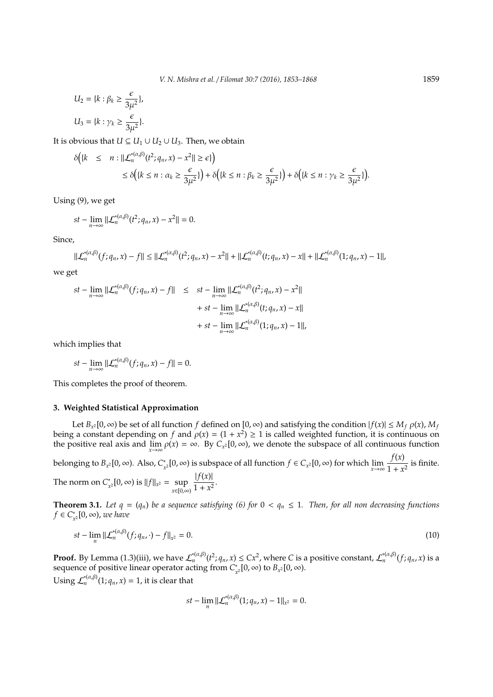$$
U_2 = \{k : \beta_k \ge \frac{\epsilon}{3\mu^2}\},
$$
  

$$
U_3 = \{k : \gamma_k \ge \frac{\epsilon}{3\mu^2}\}.
$$

It is obvious that  $U ⊆ U_1 ∪ U_2 ∪ U_3$ . Then, we obtain

$$
\begin{aligned} \delta\big( \{k \le n : ||\mathcal{L}_n^{*(\alpha,\beta)}(t^2; q_n, x) - x^2|| \ge \epsilon \} \big) \\ &\le \delta\big( \{k \le n : \alpha_k \ge \frac{\epsilon}{3\mu^2} \} \big) + \delta\big( \{k \le n : \beta_k \ge \frac{\epsilon}{3\mu^2} \} \big) + \delta\big( \{k \le n : \gamma_k \ge \frac{\epsilon}{3\mu^2} \} \big). \end{aligned}
$$

Using (9), we get

$$
st-\lim_{n\to\infty}\|\mathcal{L}_n^{*(\alpha,\beta)}(t^2;q_n,x)-x^2\|=0.
$$

Since,

$$
\|\mathcal{L}_n^{*(\alpha,\beta)}(f;q_n,x)-f\|\leq \|\mathcal{L}_n^{*(\alpha,\beta)}(t^2;q_n,x)-x^2\|+\|\mathcal{L}_n^{*(\alpha,\beta)}(t;q_n,x)-x\|+\|\mathcal{L}_n^{*(\alpha,\beta)}(1;q_n,x)-1\|,
$$

we get

$$
st - \lim_{n \to \infty} ||\mathcal{L}_n^{*(\alpha,\beta)}(f; q_n, x) - f|| \leq st - \lim_{n \to \infty} ||\mathcal{L}_n^{*(\alpha,\beta)}(t^2; q_n, x) - x^2||
$$
  
+  $st - \lim_{n \to \infty} ||\mathcal{L}_n^{*(\alpha,\beta)}(t; q_n, x) - x||$   
+  $st - \lim_{n \to \infty} ||\mathcal{L}_n^{*(\alpha,\beta)}(1; q_n, x) - 1||,$ 

which implies that

 $st - \lim_{n \to \infty} ||\mathcal{L}_n^{*(\alpha,\beta)}(f; q_n, x) - f|| = 0.$ 

This completes the proof of theorem.

## **3. Weighted Statistical Approximation**

Let  $B_{x^2}[0,\infty)$  be set of all function *f* defined on  $[0,\infty)$  and satisfying the condition  $|f(x)| \le M_f \rho(x)$ ,  $M_f$ being a constant depending on *f* and  $\rho(x) = (1 + x^2) \ge 1$  is called weighted function, it is continuous on the positive real axis and  $\lim_{x\to\infty} \rho(x) = \infty$ . By  $C_{x^2} [0, \infty)$ , we denote the subspace of all continuous function

belonging to  $B_{x^2}[0, \infty)$ . Also,  $C^*$ *x*<sub>2</sub>[0, ∞) is subspace of all function  $f \in C_{x^2}[0, \infty)$  for which  $\lim_{x \to \infty} \frac{f(x)}{1 + x^2}$  $\frac{y}{1 + x^2}$  is finite.  $|f(x)|$ 

The norm on *C* ∗  $\int_{x^2}^{x} [0, \infty) \text{ is } ||f||_{x^2} = \text{sup.}$ *x*∈[0,∞)  $\frac{1}{1 + x^2}$ .

**Theorem 3.1.** Let  $q = (q_n)$  be a sequence satisfying (6) for  $0 < q_n \le 1$ . Then, for all non decreasing functions *f* ∈ *C* ∗ *x* 2 [0, ∞), *we have*

$$
st - \lim_{n} ||\mathcal{L}_n^{*(\alpha,\beta)}(f; q_n, \cdot) - f||_{x^2} = 0.
$$
 (10)

**Proof.** By Lemma (1.3)(iii), we have  $\mathcal{L}_n^{*(\alpha,\beta)}(t^2;q_n,x)\leq Cx^2$ , where C is a positive constant,  $\mathcal{L}_n^{*(\alpha,\beta)}(f;q_n,x)$  is a sequence of positive linear operator acting from *C* ∗  $\chi^*_{x^2}[0,\infty)$  to  $B_{x^2}[0,\infty)$ .

Using  $\mathcal{L}_n^{*(\alpha,\beta)}(1;q_n,x) = 1$ , it is clear that

$$
st-\lim_{n}||\mathcal{L}_{n}^{*(\alpha,\beta)}(1;q_{n},x)-1||_{x^{2}}=0.
$$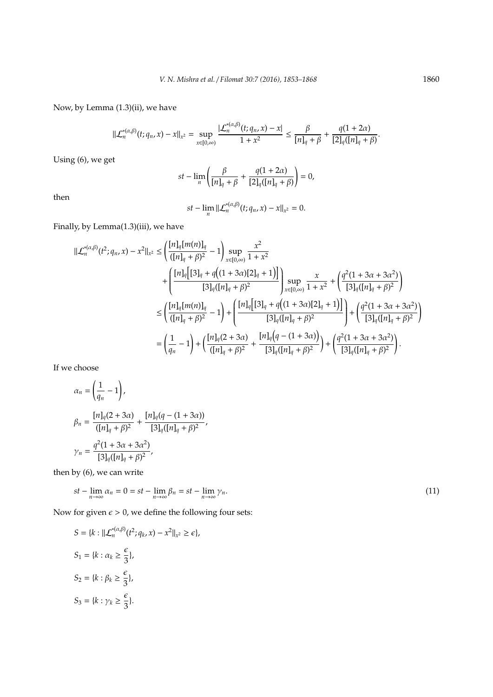Now, by Lemma (1.3)(ii), we have

$$
||\mathcal{L}_n^{*(\alpha,\beta)}(t;q_n,x)-x||_{x^2}=\sup_{x\in [0,\infty)}\frac{|\mathcal{L}_n^{*(\alpha,\beta)}(t;q_n,x)-x|}{1+x^2}\leq \frac{\beta}{[n]_q+\beta}+\frac{q(1+2\alpha)}{[2]_q([n]_q+\beta)}.
$$

Using (6), we get

$$
st - \lim_{n} \left( \frac{\beta}{[n]_q + \beta} + \frac{q(1 + 2\alpha)}{[2]_q([n]_q + \beta)} \right) = 0,
$$

then

$$
st-\lim_n||\mathcal{L}_n^{*(\alpha,\beta)}(t;q_n,x)-x||_{x^2}=0.
$$

Finally, by Lemma(1.3)(iii), we have

$$
\begin{split} \|\mathcal{L}_{n}^{*(\alpha,\beta)}(t^{2};q_{n},x)-x^{2}\|_{x^{2}} &\leq \left(\frac{[n]_{q}[m(n)]_{q}}{([n]_{q}+\beta)^{2}}-1\right) \sup_{x\in[0,\infty)}\frac{x^{2}}{1+x^{2}}\\ &+\left(\frac{[n]_{q}[[3]_{q}+q\big((1+3\alpha)[2]_{q}+1\big)\big]}{[3]_{q}([n]_{q}+\beta)^{2}}\right) \sup_{x\in[0,\infty)}\frac{x}{1+x^{2}}+\left(\frac{q^{2}(1+3\alpha+3\alpha^{2})}{[3]_{q}([n]_{q}+\beta)^{2}}\right)\\ &\leq \left(\frac{[n]_{q}[m(n)]_{q}}{([n]_{q}+\beta)^{2}}-1\right)+\left(\frac{[n]_{q}[[3]_{q}+q\big((1+3\alpha)[2]_{q}+1\big)\big]}{[3]_{q}([n]_{q}+\beta)^{2}}\right)+\left(\frac{q^{2}(1+3\alpha+3\alpha^{2})}{[3]_{q}([n]_{q}+\beta)^{2}}\right)\\ &=\left(\frac{1}{q_{n}}-1\right)+\left(\frac{[n]_{q}(2+3\alpha)}{([n]_{q}+\beta)^{2}}+\frac{[n]_{q}\big(q-(1+3\alpha)\big)}{[3]_{q}([n]_{q}+\beta)^{2}}\right)+\left(\frac{q^{2}(1+3\alpha+3\alpha^{2})}{[3]_{q}([n]_{q}+\beta)^{2}}\right). \end{split}
$$

If we choose

$$
\alpha_n = \left(\frac{1}{q_n} - 1\right),
$$
\n
$$
\beta_n = \frac{[n]_q(2 + 3\alpha)}{([n]_q + \beta)^2} + \frac{[n]_q(q - (1 + 3\alpha))}{[3]_q([n]_q + \beta)^2},
$$
\n
$$
\gamma_n = \frac{q^2(1 + 3\alpha + 3\alpha^2)}{[3]_q([n]_q + \beta)^2},
$$

then by (6), we can write

$$
st - \lim_{n \to \infty} \alpha_n = 0 = st - \lim_{n \to \infty} \beta_n = st - \lim_{n \to \infty} \gamma_n.
$$
\n
$$
(11)
$$

Now for given  $\epsilon > 0$ , we define the following four sets:

$$
S = \{k : ||\mathcal{L}_n^{*(\alpha,\beta)}(t^2; q_k, x) - x^2||_{x^2} \ge \epsilon\},
$$
  
\n
$$
S_1 = \{k : \alpha_k \ge \frac{\epsilon}{3}\},
$$
  
\n
$$
S_2 = \{k : \beta_k \ge \frac{\epsilon}{3}\},
$$
  
\n
$$
S_3 = \{k : \gamma_k \ge \frac{\epsilon}{3}\}.
$$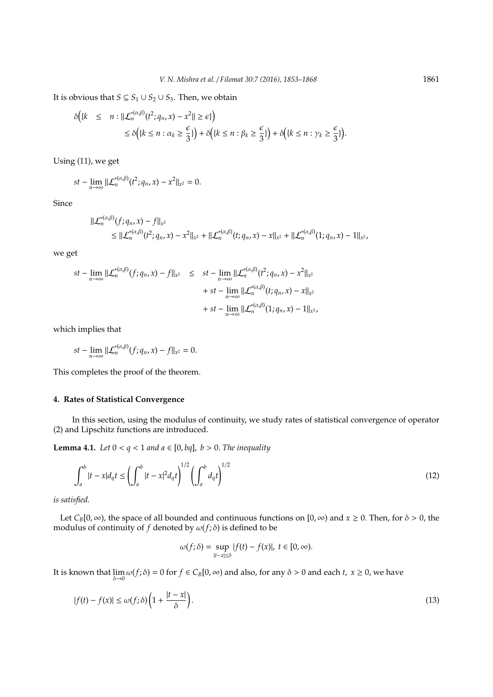It is obvious that *S* ⊆ *S*<sub>1</sub> ∪ *S*<sub>2</sub> ∪ *S*<sub>3</sub>. Then, we obtain

$$
\delta\Big(\{k \leq n : ||\mathcal{L}_n^{*(\alpha,\beta)}(t^2; q_n, x) - x^2|| \geq \epsilon\}\Big) \\
\leq \delta\Big(\{k \leq n : \alpha_k \geq \frac{\epsilon}{3}\}\Big) + \delta\Big(\{k \leq n : \beta_k \geq \frac{\epsilon}{3}\}\Big) + \delta\Big(\{k \leq n : \gamma_k \geq \frac{\epsilon}{3}\}\Big).
$$

Using (11), we get

$$
st-\lim_{n\to\infty}||\mathcal{L}_n^{*(\alpha,\beta)}(t^2;q_n,x)-x^2||_{x^2}=0.
$$

Since

$$
\begin{aligned} ||\mathcal{L}_n^{*(\alpha,\beta)}(f;q_n,x)-f||_{x^2} \\ &\leq ||\mathcal{L}_n^{*(\alpha,\beta)}(t^2;q_n,x)-x^2||_{x^2}+||\mathcal{L}_n^{*(\alpha,\beta)}(t;q_n,x)-x||_{x^2}+||\mathcal{L}_n^{*(\alpha,\beta)}(1;q_n,x)-1||_{x^2}, \end{aligned}
$$

we get

$$
st - \lim_{n \to \infty} ||\mathcal{L}_n^{*(\alpha,\beta)}(f; q_n, x) - f||_{x^2} \leq st - \lim_{n \to \infty} ||\mathcal{L}_n^{*(\alpha,\beta)}(t^2; q_n, x) - x^2||_{x^2} + st - \lim_{n \to \infty} ||\mathcal{L}_n^{*(\alpha,\beta)}(t; q_n, x) - x||_{x^2} + st - \lim_{n \to \infty} ||\mathcal{L}_n^{*(\alpha,\beta)}(1; q_n, x) - 1||_{x^2},
$$

which implies that

$$
st-\lim_{n\to\infty}\|\mathcal{L}_n^{*(\alpha,\beta)}(f;q_n,x)-f\|_{x^2}=0.
$$

This completes the proof of the theorem.

## **4. Rates of Statistical Convergence**

In this section, using the modulus of continuity, we study rates of statistical convergence of operator (2) and Lipschitz functions are introduced.

**Lemma 4.1.** *Let*  $0 < q < 1$  *and*  $a \in [0, bq]$ ,  $b > 0$ . *The inequality* 

$$
\int_{a}^{b} |t - x| d_q t \le \left(\int_{a}^{b} |t - x|^2 d_q t\right)^{1/2} \left(\int_{a}^{b} d_q t\right)^{1/2} \tag{12}
$$

*is satisfied.*

Let  $C_B[0, \infty)$ , the space of all bounded and continuous functions on  $[0, \infty)$  and  $x \ge 0$ . Then, for  $\delta > 0$ , the modulus of continuity of *f* denoted by  $\omega(f; \delta)$  is defined to be

$$
\omega(f;\delta) = \sup_{|t-x| \leq \delta} |f(t) - f(x)|, \ t \in [0,\infty).
$$

It is known that  $\lim_{\delta\to 0}\omega(f;\delta) = 0$  for  $f \in C_B[0,\infty)$  and also, for any  $\delta > 0$  and each *t*,  $x \ge 0$ , we have

$$
|f(t) - f(x)| \le \omega(f; \delta) \left( 1 + \frac{|t - x|}{\delta} \right). \tag{13}
$$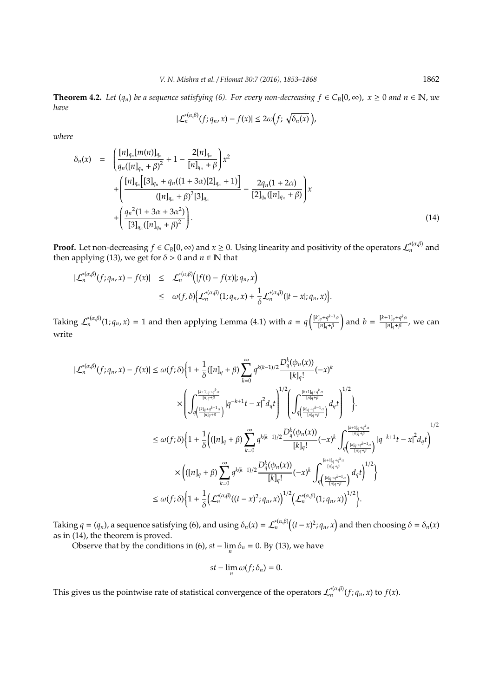**Theorem 4.2.** Let  $(q_n)$  be a sequence satisfying (6). For every non-decreasing  $f \in C_B[0,\infty)$ ,  $x ≥ 0$  and  $n ∈ \mathbb{N}$ , we *have*

$$
|\mathcal{L}_n^{*(\alpha,\beta)}(f;q_n,x)-f(x)|\leq 2\omega\big(f;\sqrt{\delta_n(x)}\,\big),
$$

*where*

$$
\delta_n(x) = \left( \frac{[n]_{q_n}[m(n)]_{q_n}}{q_n([n]_{q_n} + \beta)^2} + 1 - \frac{2[n]_{q_n}}{[n]_{q_n} + \beta} \right) x^2 + \left( \frac{[n]_{q_n}[3]_{q_n} + q_n((1+3\alpha)[2]_{q_n} + 1)}{([n]_{q_n} + \beta)^2[3]_{q_n}} - \frac{2q_n(1+2\alpha)}{[2]_{q_n}([n]_{q_n} + \beta)} \right) x + \left( \frac{q_n^2(1+3\alpha+3\alpha^2)}{[3]_{q_n}([n]_{q_n} + \beta)^2} \right).
$$
\n(14)

**Proof.** Let non-decreasing  $f \in C_B[0,\infty)$  and  $x \ge 0$ . Using linearity and positivity of the operators  $\mathcal{L}_n^{*(\alpha,\beta)}$  and then applying (13), we get for  $\delta > 0$  and  $n \in \mathbb{N}$  that

$$
\begin{array}{rcl}\n|\mathcal{L}_n^{*(\alpha,\beta)}(f;q_n,x)-f(x)| &\leq & \mathcal{L}_n^{*(\alpha,\beta)}\big(|f(t)-f(x)|;q_n,x\big) \\
&\leq & \omega(f,\delta)\big\{\mathcal{L}_n^{*(\alpha,\beta)}(1;q_n,x)+\frac{1}{\delta}\mathcal{L}_n^{*(\alpha,\beta)}(|t-x|;q_n,x)\big\}.\n\end{array}
$$

Taking  $\mathcal{L}_n^{*(\alpha,\beta)}(1;q_n,x) = 1$  and then applying Lemma (4.1) with  $a = q^{\left(\frac{[k]_q+q^{k-1}\alpha}{[n]_q+\beta}\right)}$ [*n*]*q*+β and  $b = \frac{[k+1]_q + q^k a}{[n]_q + \beta}$  $\frac{1}{[n]_q + \beta}$ , we can write

$$
|\mathcal{L}_{n}^{*(\alpha,\beta)}(f;q_{n},x)-f(x)| \leq \omega(f;\delta)\Big\{1+\frac{1}{\delta}([n]_{q}+\beta)\sum_{k=0}^{\infty}q^{k(k-1)/2}\frac{D_{q}^{k}(\phi_{n}(x))}{[k]_{q}!}(-x)^{k}\Big\}\times\Bigg(\int_{q\left(\frac{[k]_{q}+q^{k-1}\alpha}{[n]_{q}+\beta}\right)}^{[\frac{k+1]_{q}+q^{k}\alpha}{[n]_{q}+\beta}}|q^{-k+1}t-x|^{2}d_{q}t\Bigg)^{1/2}\Bigg(\int_{q\left(\frac{[k]_{q}+q^{k-1}\alpha}{[n]_{q}+\beta}\right)}^{[\frac{k+1]_{q}+q^{k}\alpha}{[n]_{q}+\beta}}d_{q}t\Bigg)^{1/2}\Bigg\}.\leq \omega(f;\delta)\Big\{1+\frac{1}{\delta}\Big(([n]_{q}+\beta)\sum_{k=0}^{\infty}q^{k(k-1)/2}\frac{D_{q}^{k}(\phi_{n}(x))}{[k]_{q}!}(-x)^{k}\int_{q\left(\frac{[k]_{q}+q^{k-1}\alpha}{[n]_{q}+\beta}\right)}^{[\frac{k+1]_{q}+q^{k}\alpha}{[n]_{q}+\beta}}|q^{-k+1}t-x|^{2}d_{q}t\Bigg)\times\Big(([n]_{q}+\beta)\sum_{k=0}^{\infty}q^{k(k-1)/2}\frac{D_{q}^{k}(\phi_{n}(x))}{[k]_{q}!}(-x)^{k}\int_{q\left(\frac{[k]_{q}+q^{k-1}\alpha}{[n]_{q}+\beta}\right)}^{[\frac{k+1]_{q}+q^{k}\alpha}{[n]_{q}+\beta}}d_{q}t\Big)^{1/2}\Big\}\leq \omega(f;\delta)\Big\{1+\frac{1}{\delta}\Big(\mathcal{L}_{n}^{*(\alpha,\beta)}((t-x)^{2};q_{n},x)\Big)^{1/2}\Big(\mathcal{L}_{n}^{*(\alpha,\beta)}(1;q_{n},x)\Big)^{1/2}\Big\}.
$$

Taking  $q = (q_n)$ , a sequence satisfying (6), and using  $\delta_n(x) = \mathcal{L}_n^{*(\alpha,\beta)}\big((t-x)^2; q_n, x\big)$  and then choosing  $\delta = \delta_n(x)$ as in (14), the theorem is proved.

Observe that by the conditions in (6),  $st - \lim_n \delta_n = 0$ . By (13), we have

$$
st-\lim_n \omega(f;\delta_n)=0.
$$

This gives us the pointwise rate of statistical convergence of the operators  $\mathcal{L}_n^{*(\alpha,\beta)}(f; q_n, x)$  to  $f(x)$ .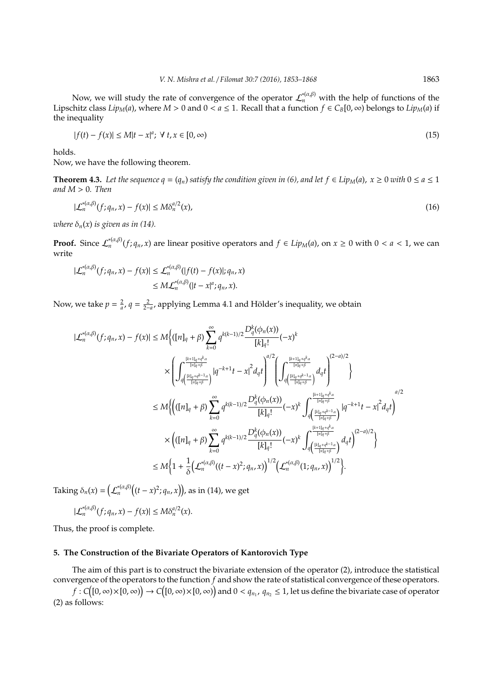Now, we will study the rate of convergence of the operator  $\mathcal{L}_n^{*(\alpha,\beta)}$  with the help of functions of the Lipschitz class  $Lip<sub>M</sub>(a)$ , where  $M > 0$  and  $0 < a \le 1$ . Recall that a function  $f \in C_B[0, \infty)$  belongs to  $Lip<sub>M</sub>(a)$  if the inequality

$$
|f(t) - f(x)| \le M|t - x|^a; \ \forall \ t, x \in [0, \infty)
$$
\n(15)

holds.

Now, we have the following theorem.

**Theorem 4.3.** Let the sequence  $q = (q_n)$  satisfy the condition given in (6), and let  $f \in Lip_M(a)$ ,  $x \ge 0$  with  $0 \le a \le 1$ *and M* > 0*. Then*

$$
|\mathcal{L}_n^{*(\alpha,\beta)}(f;q_n,x) - f(x)| \le M\delta_n^{a/2}(x),\tag{16}
$$

*where*  $\delta_n(x)$  *is given as in (14).* 

**Proof.** Since  $\mathcal{L}_n^{*(\alpha,\beta)}(f; q_n, x)$  are linear positive operators and  $f \in Lip_M(a)$ , on  $x \ge 0$  with  $0 < a < 1$ , we can write

$$
|\mathcal{L}_n^{*(\alpha,\beta)}(f;q_n,x)-f(x)| \leq \mathcal{L}_n^{*(\alpha,\beta)}(|f(t)-f(x)|;q_n,x) \leq M\mathcal{L}_n^{*(\alpha,\beta)}(|t-x|^a;q_n,x).
$$

Now, we take  $p = \frac{2}{a}$ ,  $q = \frac{2}{2-a}$ , applying Lemma 4.1 and Hölder's inequality, we obtain

$$
|\mathcal{L}_{n}^{*(\alpha,\beta)}(f;q_{n},x)-f(x)| \leq M \Big\{ ([n]_{q} + \beta) \sum_{k=0}^{\infty} q^{k(k-1)/2} \frac{D_{q}^{k}(\phi_{n}(x))}{[k]_{q}!} (-x)^{k} \\ \times \Bigg( \int_{q\left(\frac{[k]_{q}+q^{k-1}\alpha}{[n]_{q}+\beta}\right)}^{\frac{[k+1]_{q}+q^{k}\alpha}{[n]_{q}+\beta}} |q^{-k+1}t-x|^{2}d_{q}t \Bigg)^{d/2} \Bigg( \int_{q\left(\frac{[k]_{q}+q^{k-1}\alpha}{[n]_{q}+\beta}\right)}^{\frac{(k+1]_{q}+q^{k}\alpha}{[n]_{q}+\beta}} d_{q}t \Bigg)^{2-a)/2} \Bigg) \\ \leq M \Big\{ \Big( ([n]_{q} + \beta) \sum_{k=0}^{\infty} q^{k(k-1)/2} \frac{D_{q}^{k}(\phi_{n}(x))}{[k]_{q}!} (-x)^{k} \int_{q\left(\frac{[k]_{q}+q^{k-1}\alpha}{[n]_{q}+\beta}\right)}^{\frac{(k+1]_{q}+q^{k}\alpha}{[n]_{q}+\beta}} |q^{-k+1}t-x|^{2}d_{q}t \Bigg)^{a/2} \\ \times \Big( ([n]_{q} + \beta) \sum_{k=0}^{\infty} q^{k(k-1)/2} \frac{D_{q}^{k}(\phi_{n}(x))}{[k]_{q}!} (-x)^{k} \int_{q\left(\frac{[k]_{q}+q^{k-1}\alpha}{[n]_{q}+\beta}\right)}^{\frac{(k+1]_{q}+q^{k}\alpha}{[n]_{q}+\beta}} d_{q}t \Bigg)^{(2-a)/2} \Big\} \\ \leq M \Big\{ 1 + \frac{1}{\delta} \Big( \mathcal{L}_{n}^{*(\alpha,\beta)}((t-x)^{2};q_{n},x) \Big)^{1/2} \Big( \mathcal{L}_{n}^{*(\alpha,\beta)}(1;q_{n},x) \Big)^{1/2} \Big\}.
$$

Taking  $\delta_n(x) = \left( \mathcal{L}_n^{*(\alpha,\beta)} \big( (t-x)^2; q_n, x \big) \right)$ , as in (14), we get

$$
|\mathcal{L}_n^{*(\alpha,\beta)}(f;q_n,x)-f(x)|\leq M\delta_n^{a/2}(x).
$$

Thus, the proof is complete.

## **5. The Construction of the Bivariate Operators of Kantorovich Type**

The aim of this part is to construct the bivariate extension of the operator (2), introduce the statistical convergence of the operators to the function *f* and show the rate of statistical convergence of these operators.

 $f: C\big([0,\infty)\times[0,\infty)\big)\to C\big([0,\infty)\times[0,\infty)\big)$  and  $0< q_{n_1}$ ,  $q_{n_2}\leq 1$ , let us define the bivariate case of operator (2) as follows: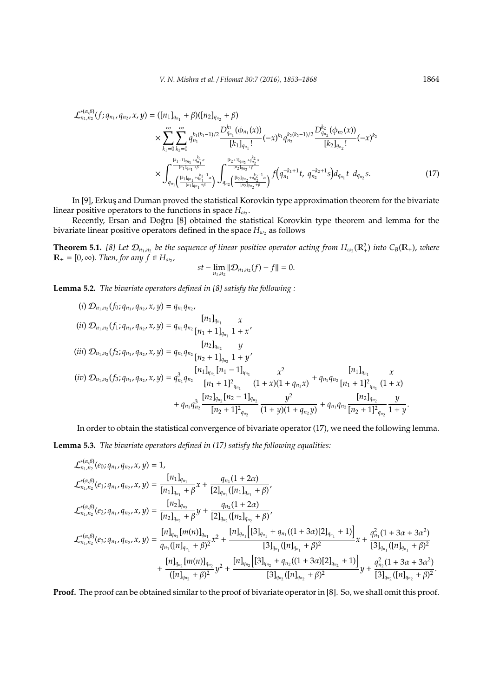$$
\mathcal{L}_{n_1,n_2}^{*(\alpha,\beta)}(f;q_{n_1},q_{n_2},x,y) = ([n_1]_{q_{n_1}} + \beta)([n_2]_{q_{n_2}} + \beta)
$$
\n
$$
\times \sum_{k_1=0}^{\infty} \sum_{k_2=0}^{\infty} q_{n_1}^{k_1(k_1-1)/2} \frac{D_{q_{n_1}}^{k_1}(\phi_{n_1}(x))}{[k_1]_{q_{n_1}}!}(-x)^{k_1} q_{n_2}^{k_2(k_2-1)/2} \frac{D_{q_{n_2}}^{k_2}(\phi_{n_2}(x))}{[k_2]_{q_{n_2}}!}(-x)^{k_2}
$$
\n
$$
\times \int_{q_{n_1}}^{\frac{[k_1+1]_{q_{n_1}}+q_{n_1}^{k_1}\alpha}{[n_1]_{q_{n_1}}+\beta}} \int_{q_{n_2}}^{\frac{[k_2+1]_{q_{n_2}}+q_{n_2}^{k_2}\alpha}{[n_2]_{q_{n_2}+\beta}}} f(q_{n_1}^{-k_1+1}t, q_{n_2}^{-k_2+1}s) d_{q_{n_1}}t \ d_{q_{n_2}}s. \tag{17}
$$

In [9], Erkuş and Duman proved the statistical Korovkin type approximation theorem for the bivariate linear positive operators to the functions in space  $H_{\omega_2}$ .

Recently, Ersan and Doğru [8] obtained the statistical Korovkin type theorem and lemma for the bivariate linear positive operators defined in the space  $H_{\omega_2}$  as follows

**Theorem 5.1.** [8] Let  $\mathcal{D}_{n_1,n_2}$  be the sequence of linear positive operator acting from  $H_{\omega_2}(\mathbb{R}^2_+)$  into  $C_B(\mathbb{R}_+)$ , where  $\mathbb{R}_+ = [0, \infty)$ . *Then, for any*  $\widehat{f} \in H_{\omega_2}$ ,

$$
st-\lim_{n_1,n_2}\|\mathcal{D}_{n_1,n_2}(f)-f\|=0.
$$

**Lemma 5.2.** *The bivariate operators defined in [8] satisfy the following :*

(i) 
$$
\mathcal{D}_{n_1,n_2}(f_0; q_{n_1}, q_{n_2}, x, y) = q_{n_1} q_{n_2},
$$
  
\n(ii)  $\mathcal{D}_{n_1,n_2}(f_1; q_{n_1}, q_{n_2}, x, y) = q_{n_1} q_{n_2} \frac{[n_1]_{q_{n_1}}}{[n_1 + 1]_{q_{n_1}}} \frac{x}{1 + x},$   
\n(iii)  $\mathcal{D}_{n_1,n_2}(f_2; q_{n_1}, q_{n_2}, x, y) = q_{n_1} q_{n_2} \frac{[n_2]_{q_{n_2}}}{[n_2 + 1]_{q_{n_2}}} \frac{y}{1 + y},$   
\n(iv)  $\mathcal{D}_{n_1,n_2}(f_3; q_{n_1}, q_{n_2}, x, y) = q_{n_1}^3 q_{n_2} \frac{[n_1]_{q_{n_1}} [n_1 - 1]_{q_{n_1}}}{[n_1 + 1]^2_{q_{n_1}}} \frac{x^2}{(1 + x)(1 + q_{n_1}x)} + q_{n_1} q_{n_2} \frac{[n_1]_{q_{n_1}}}{[n_1 + 1]^2_{q_{n_1}}} \frac{x}{(1 + x)(1 + q_{n_1}x)} + q_{n_1} q_{n_2} \frac{[n_2]_{q_{n_2}}}{[n_2 + 1]^2_{q_{n_2}}} \frac{y}{[n_2 + 1]^2_{q_{n_2}}} \frac{[n_2]_{q_{n_2}}}{[n_2 + 1]^2_{q_{n_2}}} \frac{y}{[n_2 + 1]^2_{q_{n_2}}} \frac{y}{1 + y}.$ 

In order to obtain the statistical convergence of bivariate operator (17), we need the following lemma. **Lemma 5.3.** *The bivariate operators defined in (17) satisfy the following equalities:*

$$
\mathcal{L}_{n_1,n_2}^{*(\alpha,\beta)}(e_0;q_{n_1},q_{n_2},x,y) = 1,
$$
\n
$$
\mathcal{L}_{n_1,n_2}^{*(\alpha,\beta)}(e_1;q_{n_1},q_{n_2},x,y) = \frac{[n_1]_{q_{n_1}}}{[n_1]_{q_{n_1}} + \beta}x + \frac{q_{n_1}(1+2\alpha)}{[2]_{q_{n_1}}([n_1]_{q_{n_1}} + \beta)},
$$
\n
$$
\mathcal{L}_{n_1,n_2}^{*(\alpha,\beta)}(e_2;q_{n_1},q_{n_2},x,y) = \frac{[n_2]_{q_{n_2}}}{[n_2]_{q_{n_2}} + \beta}y + \frac{q_{n_2}(1+2\alpha)}{[2]_{q_{n_2}}([n_2]_{q_{n_2}} + \beta)},
$$
\n
$$
\mathcal{L}_{n_1,n_2}^{*(\alpha,\beta)}(e_3;q_{n_1},q_{n_2},x,y) = \frac{[n]_{q_{n_1}}[m(n)]_{q_{n_1}}}{q_{n_1}([n]_{q_{n_1}} + \beta)^2}x^2 + \frac{[n]_{q_{n_1}}[[3]_{q_{n_1}} + q_{n_1}((1+3\alpha)[2]_{q_{n_1}} + 1)]}{[3]_{q_{n_1}}([n]_{q_{n_1}} + \beta)^2}x + \frac{q_{n_1}^2(1+3\alpha+3\alpha^2)}{[3]_{q_{n_1}}([n]_{q_{n_1}} + \beta)^2}x^2 + \frac{[n]_{q_{n_2}}[n(n)]_{q_{n_2}}}{[3]_{q_{n_2}}([n]_{q_{n_2}} + \beta)^2}x^2 + \frac{[n]_{q_{n_2}}[3]_{q_{n_2}}([n]_{q_{n_2}} + q_{n_2}((1+3\alpha)[2]_{q_{n_2}} + 1)]}{[3]_{q_{n_2}}([n]_{q_{n_2}} + \beta)^2}y + \frac{q_{n_2}^2(1+3\alpha+3\alpha^2)}{[3]_{q_{n_2}}([n]_{q_{n_2}} + \beta)^2}y + \frac{q_{n_2}^2(1+3\alpha+3\alpha^2)}{[3]_{q_{n_2}}([
$$

**Proof.** The proof can be obtained similar to the proof of bivariate operator in [8]. So, we shall omit this proof.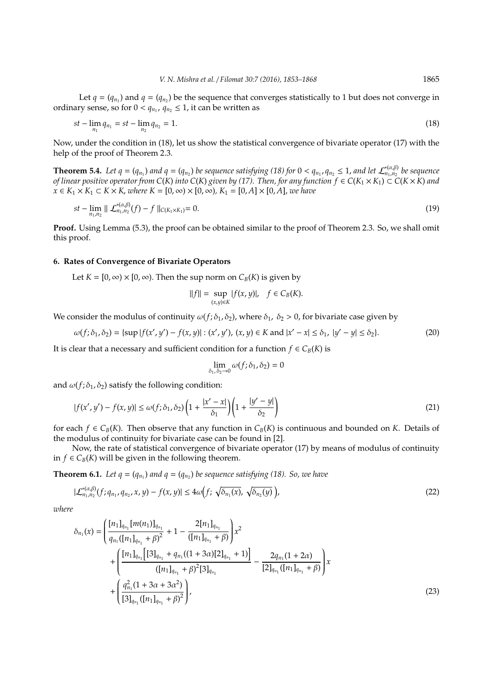Let  $q = (q_{n_1})$  and  $q = (q_{n_2})$  be the sequence that converges statistically to 1 but does not converge in ordinary sense, so for  $0 < q_{n_1}$ ,  $q_{n_2} \le 1$ , it can be written as

$$
st - \lim_{n_1} q_{n_1} = st - \lim_{n_2} q_{n_2} = 1. \tag{18}
$$

Now, under the condition in (18), let us show the statistical convergence of bivariate operator (17) with the help of the proof of Theorem 2.3.

**Theorem 5.4.** Let  $q = (q_{n_1})$  and  $q = (q_{n_2})$  be sequence satisfying (18) for  $0 < q_{n_1}, q_{n_2} \le 1$ , and let  $\mathcal{L}_{n_1,n_2}^{*(\alpha,\beta)}$ *n*1,*n*<sup>2</sup> *be sequence*  $f$  *of linear positive operator from C(K) into C(K) given by (17). Then, for any function*  $f \in C(K_1 \times K_1) \subset C(K \times K)$  *and x* ∈ *K*<sub>1</sub>  $\times$  *K*<sub>1</sub> ⊂ *K* $\times$  *K, where K* = [0*,* ∞) $\times$  [0*,* ∞)*, K*<sub>1</sub> = [0*, A*] $\times$  [0*, A*]*, we have* 

$$
st - \lim_{n_1, n_2} || \mathcal{L}_{n_1, n_2}^{*(\alpha, \beta)}(f) - f ||_{C(K_1 \times K_1)} = 0.
$$
 (19)

**Proof.** Using Lemma (5.3), the proof can be obtained similar to the proof of Theorem 2.3. So, we shall omit this proof.

# **6. Rates of Convergence of Bivariate Operators**

Let  $K = [0, \infty) \times [0, \infty)$ . Then the sup norm on  $C_B(K)$  is given by

$$
||f|| = \sup_{(x,y)\in K} |f(x,y)|, \quad f \in C_B(K).
$$

We consider the modulus of continuity  $\omega(f; \delta_1, \delta_2)$ , where  $\delta_1$ ,  $\delta_2 > 0$ , for bivariate case given by

$$
\omega(f; \delta_1, \delta_2) = \{ \sup |f(x', y') - f(x, y)| : (x', y'), (x, y) \in K \text{ and } |x' - x| \le \delta_1, |y' - y| \le \delta_2 \}. \tag{20}
$$

It is clear that a necessary and sufficient condition for a function  $f \in C_B(K)$  is

$$
\lim_{\delta_1,\delta_2\to 0}\omega(f;\delta_1,\delta_2)=0
$$

and  $\omega(f; \delta_1, \delta_2)$  satisfy the following condition:

$$
|f(x', y') - f(x, y)| \le \omega(f; \delta_1, \delta_2) \left(1 + \frac{|x' - x|}{\delta_1}\right) \left(1 + \frac{|y' - y|}{\delta_2}\right) \tag{21}
$$

for each  $f \in C_B(K)$ . Then observe that any function in  $C_B(K)$  is continuous and bounded on *K*. Details of the modulus of continuity for bivariate case can be found in [2].

Now, the rate of statistical convergence of bivariate operator (17) by means of modulus of continuity in *f* ∈  $C$ <sup>*B*</sup>(*K*) will be given in the following theorem.

**Theorem 6.1.** Let  $q = (q_{n_1})$  and  $q = (q_{n_2})$  be sequence satisfying (18). So, we have

$$
|\mathcal{L}_{n_1,n_2}^{*(\alpha,\beta)}(f;q_{n_1},q_{n_2},x,y)-f(x,y)| \leq 4\omega\Big(f;\sqrt{\delta_{n_1}(x)},\sqrt{\delta_{n_2}(y)}\,\Big),\tag{22}
$$

*where*

$$
\delta_{n_1}(x) = \left(\frac{[n_1]_{q_{n_1}}[m(n_1)]_{q_{n_1}}}{q_{n_1}([n_1]_{q_{n_1}} + \beta)^2} + 1 - \frac{2[n_1]_{q_{n_1}}}{([n_1]_{q_{n_1}} + \beta)}\right)x^2 + \left(\frac{[n_1]_{q_{n_1}}[3]_{q_{n_1}} + q_{n_1}((1+3\alpha)[2]_{q_{n_1}} + 1)}{([n_1]_{q_{n_1}} + \beta)^2[3]_{q_{n_1}}} - \frac{2q_{n_1}(1+2\alpha)}{[2]_{q_{n_1}}([n_1]_{q_{n_1}} + \beta)}\right)x + \left(\frac{q_{n_1}^2(1+3\alpha+3\alpha^2)}{[3]_{q_{n_1}}([n_1]_{q_{n_1}} + \beta)^2}\right),
$$
\n(23)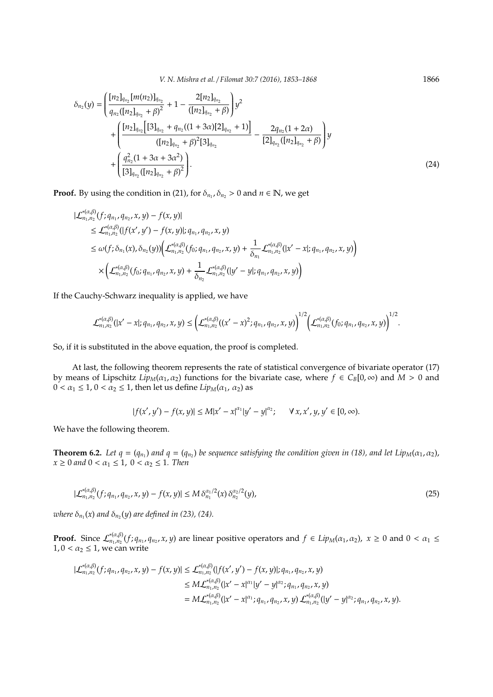*V. N. Mishra et al.* / *Filomat 30:7 (2016), 1853-1868* 1866

$$
\delta_{n_2}(y) = \left( \frac{[n_2]_{q_{n_2}} [m(n_2)]_{q_{n_2}}}{q_{n_2}([n_2]_{q_{n_2}} + \beta)^2} + 1 - \frac{2[n_2]_{q_{n_2}}}{([n_2]_{q_{n_2}} + \beta)} \right) y^2 + \left( \frac{[n_2]_{q_{n_2}} [[3]_{q_{n_2}} + q_{n_2}((1+3\alpha)[2]_{q_{n_2}} + 1)]}{([n_2]_{q_{n_2}} + \beta)^2 [3]_{q_{n_2}}} - \frac{2q_{n_2}(1+2\alpha)}{[2]_{q_{n_2}}([n_2]_{q_{n_2}} + \beta)} \right) y + \left( \frac{q_{n_2}^2 (1+3\alpha+3\alpha^2)}{[3]_{q_{n_2}}([n_2]_{q_{n_2}} + \beta)^2} \right).
$$
\n(24)

**Proof.** By using the condition in (21), for  $\delta_{n_1}, \delta_{n_2} > 0$  and  $n \in \mathbb{N}$ , we get

$$
|\mathcal{L}_{n_1,n_2}^{*(\alpha,\beta)}(f;q_{n_1},q_{n_2},x,y)-f(x,y)|
$$
  
\n
$$
\leq \mathcal{L}_{n_1,n_2}^{*(\alpha,\beta)}(|f(x',y') - f(x,y)|; q_{n_1},q_{n_2},x,y)
$$
  
\n
$$
\leq \omega(f;\delta_{n_1}(x),\delta_{n_2}(y)) \Big( \mathcal{L}_{n_1,n_2}^{*(\alpha,\beta)}(f_0;q_{n_1},q_{n_2},x,y) + \frac{1}{\delta_{n_1}} \mathcal{L}_{n_1,n_2}^{*(\alpha,\beta)}(|x'-x|; q_{n_1},q_{n_2},x,y) \Big)
$$
  
\n
$$
\times \Big( \mathcal{L}_{n_1,n_2}^{*(\alpha,\beta)}(f_0;q_{n_1},q_{n_2},x,y) + \frac{1}{\delta_{n_2}} \mathcal{L}_{n_1,n_2}^{*(\alpha,\beta)}(|y'-y|; q_{n_1},q_{n_2},x,y) \Big)
$$

If the Cauchy-Schwarz inequality is applied, we have

$$
\mathcal{L}_{n_1,n_2}^{*(\alpha,\beta)}(|x'-x|;q_{n_1},q_{n_2},x,y)\leq \left(\mathcal{L}_{n_1,n_2}^{*(\alpha,\beta)}((x'-x)^2;q_{n_1},q_{n_2},x,y)\right)^{1/2}\left(\mathcal{L}_{n_1,n_2}^{*(\alpha,\beta)}(f_0;q_{n_1},q_{n_2},x,y)\right)^{1/2}.
$$

So, if it is substituted in the above equation, the proof is completed.

At last, the following theorem represents the rate of statistical convergence of bivariate operator (17) by means of Lipschitz  $Lip_M(\alpha_1, \alpha_2)$  functions for the bivariate case, where  $f \in C_B[0, \infty)$  and  $M > 0$  and  $0 < \alpha_1 \leq 1$ ,  $0 < \alpha_2 \leq 1$ , then let us define *Lip*<sub>*M*</sub>( $\alpha_1$ ,  $\alpha_2$ ) as

$$
|f(x', y') - f(x, y)| \le M|x' - x|^{\alpha_1}|y' - y|^{\alpha_2}; \quad \forall x, x', y, y' \in [0, \infty).
$$

We have the following theorem.

**Theorem 6.2.** Let  $q = (q_{n_1})$  and  $q = (q_{n_2})$  be sequence satisfying the condition given in (18), and let Lip<sub>M</sub>( $\alpha_1$ , $\alpha_2$ ),  $x \ge 0$  *and*  $0 < \alpha_1 \le 1$ ,  $0 < \alpha_2 \le 1$ . Then

$$
|\mathcal{L}_{n_1,n_2}^{*(\alpha,\beta)}(f;q_{n_1},q_{n_2},x,y)-f(x,y)| \leq M \delta_{n_1}^{\alpha_1/2}(x) \delta_{n_2}^{\alpha_2/2}(y),
$$
\n(25)

where  $\delta_{n_1}(x)$  and  $\delta_{n_2}(y)$  are defined in (23), (24).

**Proof.** Since  $\mathcal{L}_{n_1,n_2}^{*(\alpha,\beta)}$  $x_1^{*(\alpha,\beta)}(f; q_{n_1}, q_{n_2}, x, y)$  are linear positive operators and *f* ∈ *Lip<sub>M</sub>*(α<sub>1</sub>, α<sub>2</sub>), *x* ≥ 0 and 0 < α<sub>1</sub> ≤  $1, 0 < \alpha_2 \leq 1$ , we can write

$$
|\mathcal{L}_{n_1,n_2}^{*(\alpha,\beta)}(f;q_{n_1},q_{n_2},x,y)-f(x,y)| \leq \mathcal{L}_{n_1,n_2}^{*(\alpha,\beta)}(|f(x',y') - f(x,y)|;q_{n_1},q_{n_2},x,y) \leq M\mathcal{L}_{n_1,n_2}^{*(\alpha,\beta)}(|x'-x|^{\alpha_1}|y'-y|^{\alpha_2};q_{n_1},q_{n_2},x,y) = M\mathcal{L}_{n_1,n_2}^{*(\alpha,\beta)}(|x'-x|^{\alpha_1};q_{n_1},q_{n_2},x,y)\mathcal{L}_{n_1,n_2}^{*(\alpha,\beta)}(|y'-y|^{\alpha_2};q_{n_1},q_{n_2},x,y).
$$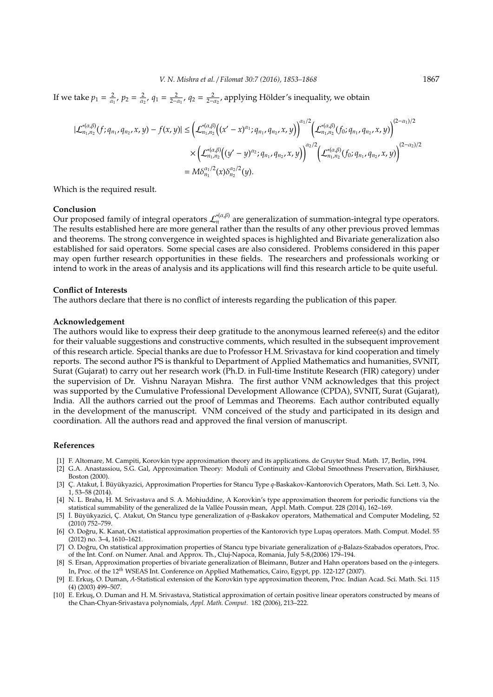If we take  $p_1 = \frac{2}{\alpha_1}$ ,  $p_2 = \frac{2}{\alpha_2}$ ,  $q_1 = \frac{2}{2-\alpha_1}$ ,  $q_2 = \frac{2}{2-\alpha_2}$ , applying Hölder's inequality, we obtain

$$
\begin{split} |\mathcal{L}_{n_{1},n_{2}}^{*(\alpha,\beta)}(f;q_{n_{1}},q_{n_{2}},x,y)-f(x,y)| & \leq \left(\mathcal{L}_{n_{1},n_{2}}^{*(\alpha,\beta)}\big((x'-x)^{\alpha_{1}};q_{n_{1}},q_{n_{2}},x,y\big)\right)^{\alpha_{1}/2}\big(\mathcal{L}_{n_{1},n_{2}}^{*(\alpha,\beta)}(f_{0};q_{n_{1}},q_{n_{2}},x,y)\big)^{(2-\alpha_{1})/2} \\ & \times \big(\mathcal{L}_{n_{1},n_{2}}^{*(\alpha,\beta)}\big((y'-y)^{\alpha_{2}};q_{n_{1}},q_{n_{2}},x,y\big)\big)^{\alpha_{2}/2}\big(\mathcal{L}_{n_{1},n_{2}}^{*(\alpha,\beta)}(f_{0};q_{n_{1}},q_{n_{2}},x,y)\big)^{(2-\alpha_{2})/2} \\ & = M\delta_{n_{1}}^{\alpha_{1}/2}(x)\delta_{n_{2}}^{\alpha_{2}/2}(y). \end{split}
$$

Which is the required result.

### **Conclusion**

 $\sum_{n=1}^{\infty}$  Contrastor. The results established here are more general rather than the results of any other previous proved lemmas and theorems. The strong convergence in weighted spaces is highlighted and Bivariate generalization also established for said operators. Some special cases are also considered. Problems considered in this paper may open further research opportunities in these fields. The researchers and professionals working or intend to work in the areas of analysis and its applications will find this research article to be quite useful.

## **Conflict of Interests**

The authors declare that there is no conflict of interests regarding the publication of this paper.

## **Acknowledgement**

The authors would like to express their deep gratitude to the anonymous learned referee(s) and the editor for their valuable suggestions and constructive comments, which resulted in the subsequent improvement of this research article. Special thanks are due to Professor H.M. Srivastava for kind cooperation and timely reports. The second author PS is thankful to Department of Applied Mathematics and humanities, SVNIT, Surat (Gujarat) to carry out her research work (Ph.D. in Full-time Institute Research (FIR) category) under the supervision of Dr. Vishnu Narayan Mishra. The first author VNM acknowledges that this project was supported by the Cumulative Professional Development Allowance (CPDA), SVNIT, Surat (Gujarat), India. All the authors carried out the proof of Lemmas and Theorems. Each author contributed equally in the development of the manuscript. VNM conceived of the study and participated in its design and coordination. All the authors read and approved the final version of manuscript.

#### **References**

- [1] F. Altomare, M. Campiti, Korovkin type approximation theory and its applications. de Gruyter Stud. Math. 17, Berlin, 1994.
- [2] G.A. Anastassiou, S.G. Gal, Approximation Theory: Moduli of Continuity and Global Smoothness Preservation, Birkhäuser, Boston (2000).
- [3] Ç. Atakut, İ. Büyükyazici, Approximation Properties for Stancu Type q-Baskakov-Kantorovich Operators, Math. Sci. Lett. 3, No. 1, 53–58 (2014).
- [4] N. L. Braha, H. M. Srivastava and S. A. Mohiuddine, A Korovkin's type approximation theorem for periodic functions via the statistical summability of the generalized de la Vallee Poussin mean, Appl. Math. Comput. 228 (2014), 162–169. ´
- [5] İ. Büyükyazici, Ç. Atakut, On Stancu type generalization of q-Baskakov operators, Mathematical and Computer Modeling, 52 (2010) 752–759.
- [6] O. Dogru, K. Kanat, On statistical approximation properties of the Kantorovich type Lupas¸ operators. Math. Comput. Model. 55 ˘ (2012) no. 3–4, 1610–1621.
- [7] O. Doğru, On statistical approximation properties of Stancu type bivariate generalization of q-Balazs-Szabados operators, Proc. of the Int. Conf. on Numer. Anal. and Approx. Th., Cluj-Napoca, Romania, July 5-8,(2006) 179–194.
- [8] S. Ersan, Approximation properties of bivariate generalization of Bleimann, Butzer and Hahn operators based on the *q*-integers. In, Proc. of the 12*th* WSEAS Int. Conference on Applied Mathematics, Cairo, Egypt, pp. 122-127 (2007).
- [9] E. Erkus¸, O. Duman, *A*-Statistical extension of the Korovkin type approximation theorem, Proc. Indian Acad. Sci. Math. Sci. 115 (4) (2003) 499–507.
- [10] E. Erkus, O. Duman and H. M. Srivastava, Statistical approximation of certain positive linear operators constructed by means of the Chan-Chyan-Srivastava polynomials, *Appl. Math. Comput.* 182 (2006), 213–222.